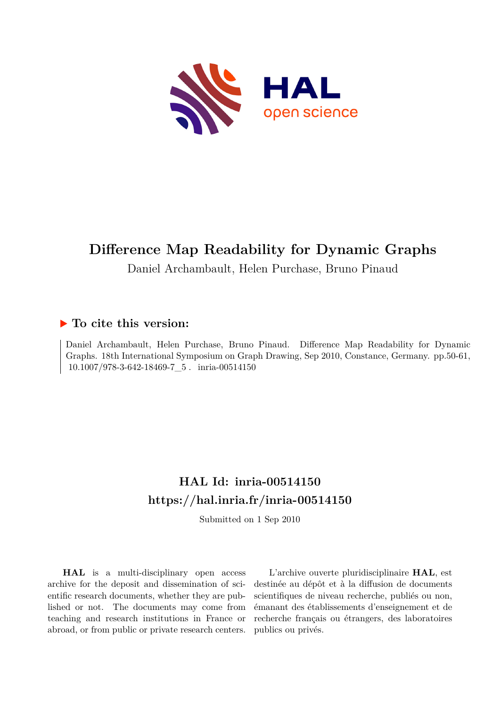

# **Difference Map Readability for Dynamic Graphs**

Daniel Archambault, Helen Purchase, Bruno Pinaud

## **To cite this version:**

Daniel Archambault, Helen Purchase, Bruno Pinaud. Difference Map Readability for Dynamic Graphs. 18th International Symposium on Graph Drawing, Sep 2010, Constance, Germany. pp.50-61, 10.1007/978-3-642-18469-7\_5. inria-00514150

# **HAL Id: inria-00514150 <https://hal.inria.fr/inria-00514150>**

Submitted on 1 Sep 2010

**HAL** is a multi-disciplinary open access archive for the deposit and dissemination of scientific research documents, whether they are published or not. The documents may come from teaching and research institutions in France or abroad, or from public or private research centers.

L'archive ouverte pluridisciplinaire **HAL**, est destinée au dépôt et à la diffusion de documents scientifiques de niveau recherche, publiés ou non, émanant des établissements d'enseignement et de recherche français ou étrangers, des laboratoires publics ou privés.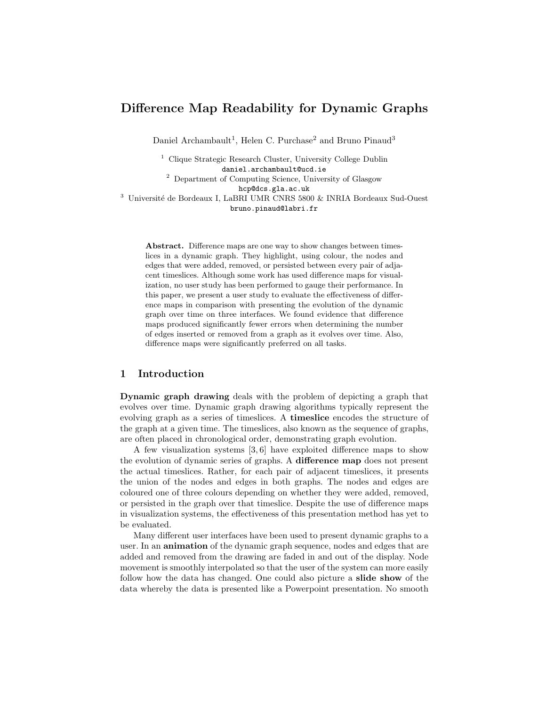## Difference Map Readability for Dynamic Graphs

Daniel Archambault<sup>1</sup>, Helen C. Purchase<sup>2</sup> and Bruno Pinaud<sup>3</sup>

<sup>1</sup> Clique Strategic Research Cluster, University College Dublin daniel.archambault@ucd.ie <sup>2</sup> Department of Computing Science, University of Glasgow hcp@dcs.gla.ac.uk  $^3$ Université de Bordeaux I, LaBRI UMR CNRS 5800  $\&$  INRIA Bordeaux Sud-Ouest

bruno.pinaud@labri.fr

Abstract. Difference maps are one way to show changes between timeslices in a dynamic graph. They highlight, using colour, the nodes and edges that were added, removed, or persisted between every pair of adjacent timeslices. Although some work has used difference maps for visualization, no user study has been performed to gauge their performance. In this paper, we present a user study to evaluate the effectiveness of difference maps in comparison with presenting the evolution of the dynamic graph over time on three interfaces. We found evidence that difference maps produced significantly fewer errors when determining the number of edges inserted or removed from a graph as it evolves over time. Also, difference maps were significantly preferred on all tasks.

## 1 Introduction

Dynamic graph drawing deals with the problem of depicting a graph that evolves over time. Dynamic graph drawing algorithms typically represent the evolving graph as a series of timeslices. A timeslice encodes the structure of the graph at a given time. The timeslices, also known as the sequence of graphs, are often placed in chronological order, demonstrating graph evolution.

A few visualization systems [3, 6] have exploited difference maps to show the evolution of dynamic series of graphs. A difference map does not present the actual timeslices. Rather, for each pair of adjacent timeslices, it presents the union of the nodes and edges in both graphs. The nodes and edges are coloured one of three colours depending on whether they were added, removed, or persisted in the graph over that timeslice. Despite the use of difference maps in visualization systems, the effectiveness of this presentation method has yet to be evaluated.

Many different user interfaces have been used to present dynamic graphs to a user. In an animation of the dynamic graph sequence, nodes and edges that are added and removed from the drawing are faded in and out of the display. Node movement is smoothly interpolated so that the user of the system can more easily follow how the data has changed. One could also picture a slide show of the data whereby the data is presented like a Powerpoint presentation. No smooth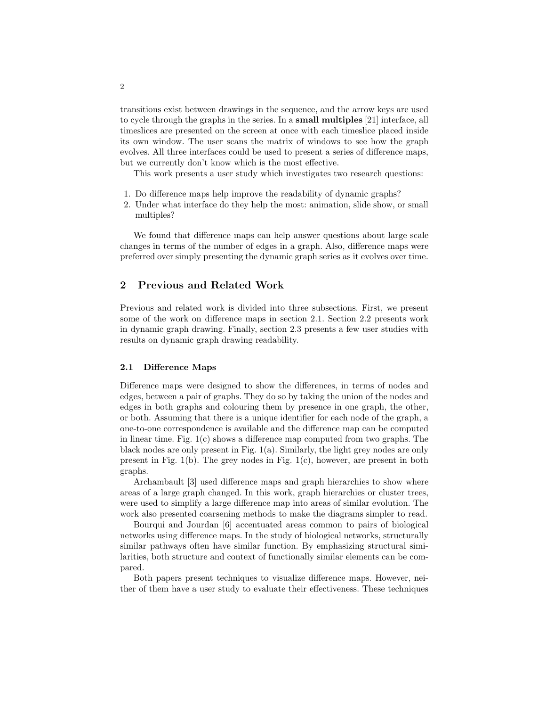transitions exist between drawings in the sequence, and the arrow keys are used to cycle through the graphs in the series. In a small multiples [21] interface, all timeslices are presented on the screen at once with each timeslice placed inside its own window. The user scans the matrix of windows to see how the graph evolves. All three interfaces could be used to present a series of difference maps, but we currently don't know which is the most effective.

This work presents a user study which investigates two research questions:

- 1. Do difference maps help improve the readability of dynamic graphs?
- 2. Under what interface do they help the most: animation, slide show, or small multiples?

We found that difference maps can help answer questions about large scale changes in terms of the number of edges in a graph. Also, difference maps were preferred over simply presenting the dynamic graph series as it evolves over time.

## 2 Previous and Related Work

Previous and related work is divided into three subsections. First, we present some of the work on difference maps in section 2.1. Section 2.2 presents work in dynamic graph drawing. Finally, section 2.3 presents a few user studies with results on dynamic graph drawing readability.

## 2.1 Difference Maps

Difference maps were designed to show the differences, in terms of nodes and edges, between a pair of graphs. They do so by taking the union of the nodes and edges in both graphs and colouring them by presence in one graph, the other, or both. Assuming that there is a unique identifier for each node of the graph, a one-to-one correspondence is available and the difference map can be computed in linear time. Fig. 1(c) shows a difference map computed from two graphs. The black nodes are only present in Fig.  $1(a)$ . Similarly, the light grey nodes are only present in Fig.  $1(b)$ . The grey nodes in Fig.  $1(c)$ , however, are present in both graphs.

Archambault [3] used difference maps and graph hierarchies to show where areas of a large graph changed. In this work, graph hierarchies or cluster trees, were used to simplify a large difference map into areas of similar evolution. The work also presented coarsening methods to make the diagrams simpler to read.

Bourqui and Jourdan [6] accentuated areas common to pairs of biological networks using difference maps. In the study of biological networks, structurally similar pathways often have similar function. By emphasizing structural similarities, both structure and context of functionally similar elements can be compared.

Both papers present techniques to visualize difference maps. However, neither of them have a user study to evaluate their effectiveness. These techniques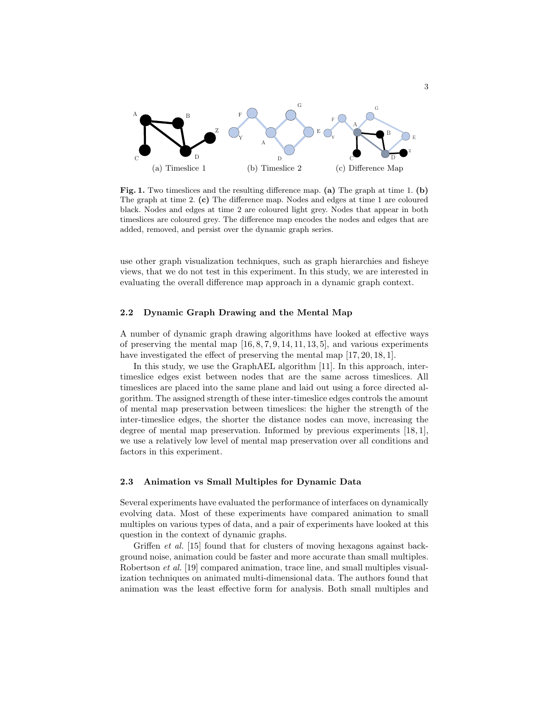

Fig. 1. Two timeslices and the resulting difference map. (a) The graph at time 1. (b) The graph at time 2. (c) The difference map. Nodes and edges at time 1 are coloured black. Nodes and edges at time 2 are coloured light grey. Nodes that appear in both timeslices are coloured grey. The difference map encodes the nodes and edges that are added, removed, and persist over the dynamic graph series.

use other graph visualization techniques, such as graph hierarchies and fisheye views, that we do not test in this experiment. In this study, we are interested in evaluating the overall difference map approach in a dynamic graph context.

## 2.2 Dynamic Graph Drawing and the Mental Map

A number of dynamic graph drawing algorithms have looked at effective ways of preserving the mental map  $[16, 8, 7, 9, 14, 11, 13, 5]$ , and various experiments have investigated the effect of preserving the mental map [17, 20, 18, 1].

In this study, we use the GraphAEL algorithm [11]. In this approach, intertimeslice edges exist between nodes that are the same across timeslices. All timeslices are placed into the same plane and laid out using a force directed algorithm. The assigned strength of these inter-timeslice edges controls the amount of mental map preservation between timeslices: the higher the strength of the inter-timeslice edges, the shorter the distance nodes can move, increasing the degree of mental map preservation. Informed by previous experiments [18, 1], we use a relatively low level of mental map preservation over all conditions and factors in this experiment.

## 2.3 Animation vs Small Multiples for Dynamic Data

Several experiments have evaluated the performance of interfaces on dynamically evolving data. Most of these experiments have compared animation to small multiples on various types of data, and a pair of experiments have looked at this question in the context of dynamic graphs.

Griffen *et al.* [15] found that for clusters of moving hexagons against background noise, animation could be faster and more accurate than small multiples. Robertson et al. [19] compared animation, trace line, and small multiples visualization techniques on animated multi-dimensional data. The authors found that animation was the least effective form for analysis. Both small multiples and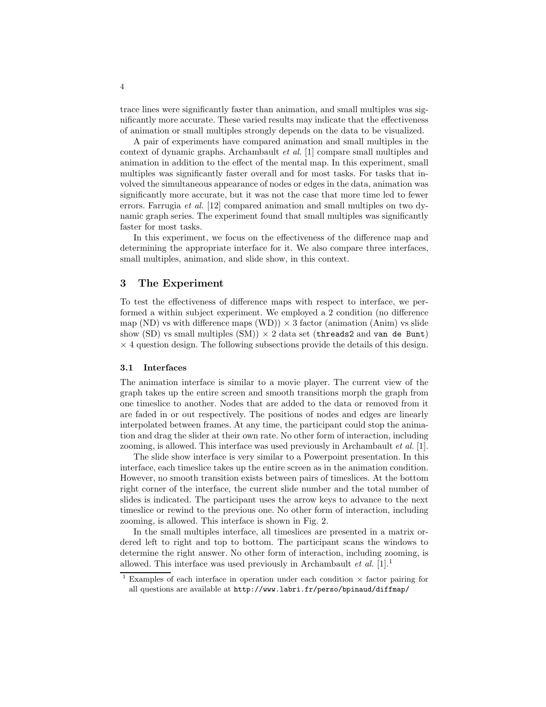trace lines were significantly faster than animation, and small multiples was significantly more accurate. These varied results may indicate that the effectiveness of animation or small multiples strongly depends on the data to be visualized.

A pair of experiments have compared animation and small multiples in the context of dynamic graphs. Archambault et al. [1] compare small multiples and animation in addition to the effect of the mental map. In this experiment, small multiples was significantly faster overall and for most tasks. For tasks that involved the simultaneous appearance of nodes or edges in the data, animation was significantly more accurate, but it was not the case that more time led to fewer errors. Farrugia et al. [12] compared animation and small multiples on two dynamic graph series. The experiment found that small multiples was significantly faster for most tasks.

In this experiment, we focus on the effectiveness of the difference map and determining the appropriate interface for it. We also compare three interfaces, small multiples, animation, and slide show, in this context.

## 3 The Experiment

To test the effectiveness of difference maps with respect to interface, we performed a within subject experiment. We employed a 2 condition (no difference map (ND) vs with difference maps (WD))  $\times$  3 factor (animation (Anim) vs slide show (SD) vs small multiples (SM))  $\times$  2 data set (threads2 and van de Bunt)  $\times$  4 question design. The following subsections provide the details of this design.

## 3.1 Interfaces

The animation interface is similar to a movie player. The current view of the graph takes up the entire screen and smooth transitions morph the graph from one timeslice to another. Nodes that are added to the data or removed from it are faded in or out respectively. The positions of nodes and edges are linearly interpolated between frames. At any time, the participant could stop the animation and drag the slider at their own rate. No other form of interaction, including zooming, is allowed. This interface was used previously in Archambault et al. [1].

The slide show interface is very similar to a Powerpoint presentation. In this interface, each timeslice takes up the entire screen as in the animation condition. However, no smooth transition exists between pairs of timeslices. At the bottom right corner of the interface, the current slide number and the total number of slides is indicated. The participant uses the arrow keys to advance to the next timeslice or rewind to the previous one. No other form of interaction, including zooming, is allowed. This interface is shown in Fig. 2.

In the small multiples interface, all timeslices are presented in a matrix ordered left to right and top to bottom. The participant scans the windows to determine the right answer. No other form of interaction, including zooming, is allowed. This interface was used previously in Archambault *et al.*  $[1].<sup>1</sup>$ 

<sup>&</sup>lt;sup>1</sup> Examples of each interface in operation under each condition  $\times$  factor pairing for all questions are available at http://www.labri.fr/perso/bpinaud/diffmap/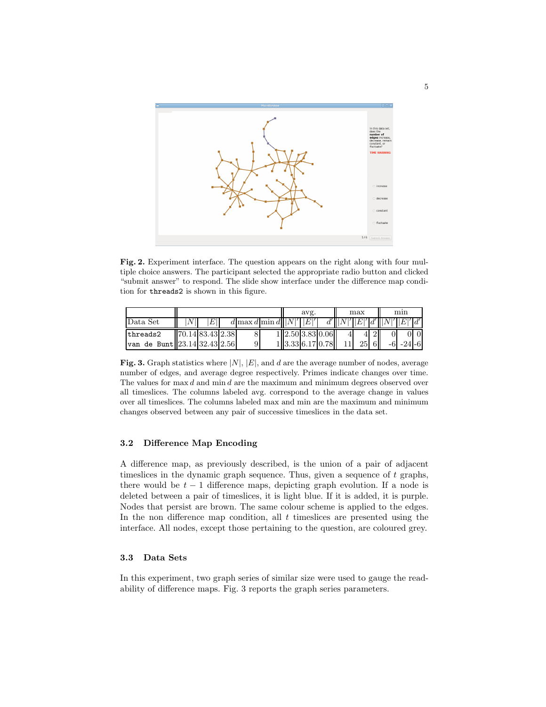

Fig. 2. Experiment interface. The question appears on the right along with four multiple choice answers. The participant selected the appropriate radio button and clicked "submit answer" to respond. The slide show interface under the difference map condition for threads2 is shown in this figure.

|                              |                         |                                  |  | avg. |                     |  | max |      |  | min                      |  |  |
|------------------------------|-------------------------|----------------------------------|--|------|---------------------|--|-----|------|--|--------------------------|--|--|
| Data Set                     | $\scriptstyle E$  <br>N | $d \max d \min d   N     E  '  $ |  |      |                     |  |     |      |  | d'   N '  E  d'   N    E |  |  |
| threads2                     | 70.14 83.43 2.38        |                                  |  |      | 1  2.50 3.83 0.06   |  | 4   | 41   |  |                          |  |  |
| van de Bunt 23.14 32.43 2.56 |                         |                                  |  |      | 1  3.33  6.17  0.78 |  |     | 25 6 |  |                          |  |  |

Fig. 3. Graph statistics where  $|N|, |E|$ , and d are the average number of nodes, average number of edges, and average degree respectively. Primes indicate changes over time. The values for  $\max d$  and  $\min d$  are the maximum and minimum degrees observed over all timeslices. The columns labeled avg. correspond to the average change in values over all timeslices. The columns labeled max and min are the maximum and minimum changes observed between any pair of successive timeslices in the data set.

## 3.2 Difference Map Encoding

A difference map, as previously described, is the union of a pair of adjacent timeslices in the dynamic graph sequence. Thus, given a sequence of  $t$  graphs, there would be  $t - 1$  difference maps, depicting graph evolution. If a node is deleted between a pair of timeslices, it is light blue. If it is added, it is purple. Nodes that persist are brown. The same colour scheme is applied to the edges. In the non difference map condition, all  $t$  timeslices are presented using the interface. All nodes, except those pertaining to the question, are coloured grey.

## 3.3 Data Sets

In this experiment, two graph series of similar size were used to gauge the readability of difference maps. Fig. 3 reports the graph series parameters.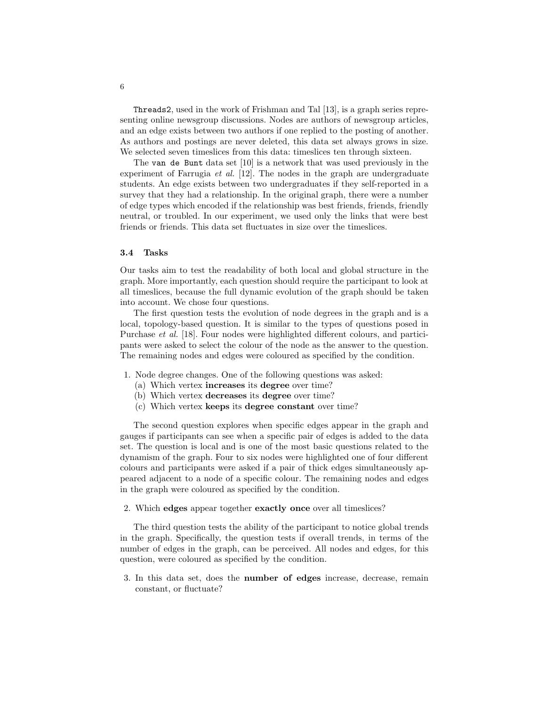Threads2, used in the work of Frishman and Tal [13], is a graph series representing online newsgroup discussions. Nodes are authors of newsgroup articles, and an edge exists between two authors if one replied to the posting of another. As authors and postings are never deleted, this data set always grows in size. We selected seven timeslices from this data: timeslices ten through sixteen.

The van de Bunt data set [10] is a network that was used previously in the experiment of Farrugia  $et \ al.$  [12]. The nodes in the graph are undergraduate students. An edge exists between two undergraduates if they self-reported in a survey that they had a relationship. In the original graph, there were a number of edge types which encoded if the relationship was best friends, friends, friendly neutral, or troubled. In our experiment, we used only the links that were best friends or friends. This data set fluctuates in size over the timeslices.

### 3.4 Tasks

Our tasks aim to test the readability of both local and global structure in the graph. More importantly, each question should require the participant to look at all timeslices, because the full dynamic evolution of the graph should be taken into account. We chose four questions.

The first question tests the evolution of node degrees in the graph and is a local, topology-based question. It is similar to the types of questions posed in Purchase et al. [18]. Four nodes were highlighted different colours, and participants were asked to select the colour of the node as the answer to the question. The remaining nodes and edges were coloured as specified by the condition.

- 1. Node degree changes. One of the following questions was asked:
	- (a) Which vertex increases its degree over time?
	- (b) Which vertex decreases its degree over time?
	- (c) Which vertex keeps its degree constant over time?

The second question explores when specific edges appear in the graph and gauges if participants can see when a specific pair of edges is added to the data set. The question is local and is one of the most basic questions related to the dynamism of the graph. Four to six nodes were highlighted one of four different colours and participants were asked if a pair of thick edges simultaneously appeared adjacent to a node of a specific colour. The remaining nodes and edges in the graph were coloured as specified by the condition.

#### 2. Which edges appear together exactly once over all timeslices?

The third question tests the ability of the participant to notice global trends in the graph. Specifically, the question tests if overall trends, in terms of the number of edges in the graph, can be perceived. All nodes and edges, for this question, were coloured as specified by the condition.

3. In this data set, does the number of edges increase, decrease, remain constant, or fluctuate?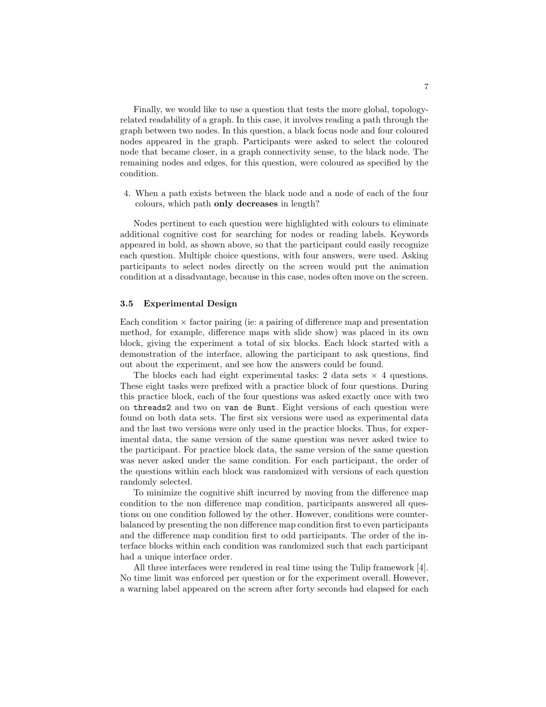Finally, we would like to use a question that tests the more global, topologyrelated readability of a graph. In this case, it involves reading a path through the graph between two nodes. In this question, a black focus node and four coloured nodes appeared in the graph. Participants were asked to select the coloured node that became closer, in a graph connectivity sense, to the black node. The remaining nodes and edges, for this question, were coloured as specified by the condition.

4. When a path exists between the black node and a node of each of the four colours, which path only decreases in length?

Nodes pertinent to each question were highlighted with colours to eliminate additional cognitive cost for searching for nodes or reading labels. Keywords appeared in bold, as shown above, so that the participant could easily recognize each question. Multiple choice questions, with four answers, were used. Asking participants to select nodes directly on the screen would put the animation condition at a disadvantage, because in this case, nodes often move on the screen.

#### 3.5 Experimental Design

Each condition  $\times$  factor pairing (ie: a pairing of difference map and presentation method, for example, difference maps with slide show) was placed in its own block, giving the experiment a total of six blocks. Each block started with a demonstration of the interface, allowing the participant to ask questions, find out about the experiment, and see how the answers could be found.

The blocks each had eight experimental tasks: 2 data sets  $\times$  4 questions. These eight tasks were prefixed with a practice block of four questions. During this practice block, each of the four questions was asked exactly once with two on threads2 and two on van de Bunt. Eight versions of each question were found on both data sets. The first six versions were used as experimental data and the last two versions were only used in the practice blocks. Thus, for experimental data, the same version of the same question was never asked twice to the participant. For practice block data, the same version of the same question was never asked under the same condition. For each participant, the order of the questions within each block was randomized with versions of each question randomly selected.

To minimize the cognitive shift incurred by moving from the difference map condition to the non difference map condition, participants answered all questions on one condition followed by the other. However, conditions were counterbalanced by presenting the non difference map condition first to even participants and the difference map condition first to odd participants. The order of the interface blocks within each condition was randomized such that each participant had a unique interface order.

All three interfaces were rendered in real time using the Tulip framework [4]. No time limit was enforced per question or for the experiment overall. However, a warning label appeared on the screen after forty seconds had elapsed for each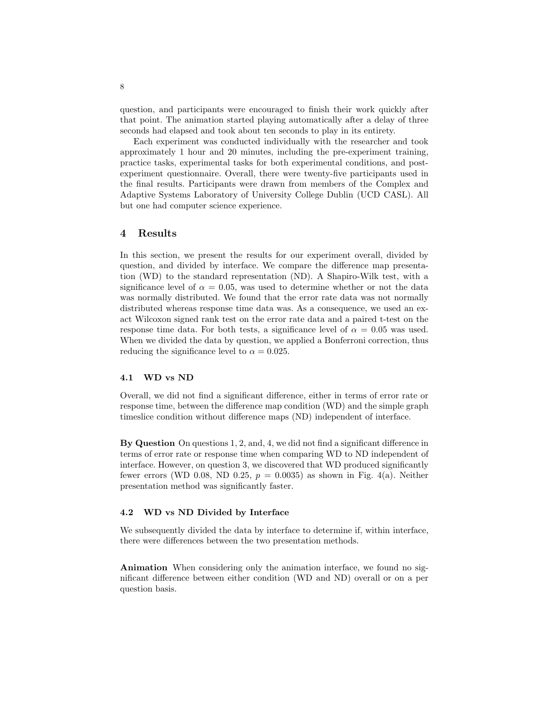question, and participants were encouraged to finish their work quickly after that point. The animation started playing automatically after a delay of three seconds had elapsed and took about ten seconds to play in its entirety.

Each experiment was conducted individually with the researcher and took approximately 1 hour and 20 minutes, including the pre-experiment training, practice tasks, experimental tasks for both experimental conditions, and postexperiment questionnaire. Overall, there were twenty-five participants used in the final results. Participants were drawn from members of the Complex and Adaptive Systems Laboratory of University College Dublin (UCD CASL). All but one had computer science experience.

## 4 Results

In this section, we present the results for our experiment overall, divided by question, and divided by interface. We compare the difference map presentation (WD) to the standard representation (ND). A Shapiro-Wilk test, with a significance level of  $\alpha = 0.05$ , was used to determine whether or not the data was normally distributed. We found that the error rate data was not normally distributed whereas response time data was. As a consequence, we used an exact Wilcoxon signed rank test on the error rate data and a paired t-test on the response time data. For both tests, a significance level of  $\alpha = 0.05$  was used. When we divided the data by question, we applied a Bonferroni correction, thus reducing the significance level to  $\alpha = 0.025$ .

## 4.1 WD vs ND

Overall, we did not find a significant difference, either in terms of error rate or response time, between the difference map condition (WD) and the simple graph timeslice condition without difference maps (ND) independent of interface.

By Question On questions 1, 2, and, 4, we did not find a significant difference in terms of error rate or response time when comparing WD to ND independent of interface. However, on question 3, we discovered that WD produced significantly fewer errors (WD 0.08, ND 0.25,  $p = 0.0035$ ) as shown in Fig. 4(a). Neither presentation method was significantly faster.

## 4.2 WD vs ND Divided by Interface

We subsequently divided the data by interface to determine if, within interface, there were differences between the two presentation methods.

Animation When considering only the animation interface, we found no significant difference between either condition (WD and ND) overall or on a per question basis.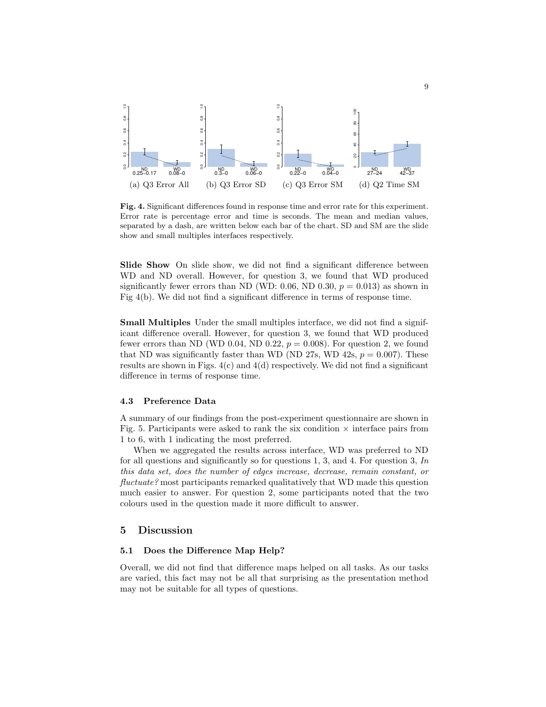

Fig. 4. Significant differences found in response time and error rate for this experiment. Error rate is percentage error and time is seconds. The mean and median values, separated by a dash, are written below each bar of the chart. SD and SM are the slide show and small multiples interfaces respectively.

Slide Show On slide show, we did not find a significant difference between WD and ND overall. However, for question 3, we found that WD produced significantly fewer errors than ND (WD: 0.06, ND 0.30,  $p = 0.013$ ) as shown in Fig 4(b). We did not find a significant difference in terms of response time.

Small Multiples Under the small multiples interface, we did not find a significant difference overall. However, for question 3, we found that WD produced fewer errors than ND (WD 0.04, ND 0.22,  $p = 0.008$ ). For question 2, we found that ND was significantly faster than WD (ND 27s, WD 42s,  $p = 0.007$ ). These results are shown in Figs.  $4(c)$  and  $4(d)$  respectively. We did not find a significant difference in terms of response time.

## 4.3 Preference Data

A summary of our findings from the post-experiment questionnaire are shown in Fig. 5. Participants were asked to rank the six condition  $\times$  interface pairs from 1 to 6, with 1 indicating the most preferred.

When we aggregated the results across interface, WD was preferred to ND for all questions and significantly so for questions 1, 3, and 4. For question 3, In this data set, does the number of edges increase, decrease, remain constant, or fluctuate? most participants remarked qualitatively that WD made this question much easier to answer. For question 2, some participants noted that the two colours used in the question made it more difficult to answer.

## 5 Discussion

### 5.1 Does the Difference Map Help?

Overall, we did not find that difference maps helped on all tasks. As our tasks are varied, this fact may not be all that surprising as the presentation method may not be suitable for all types of questions.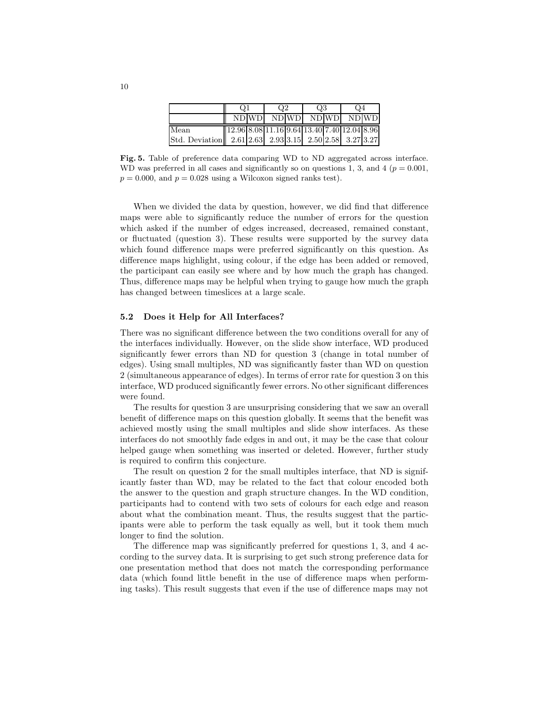|                                                        |                                                             |  | Q2 | O3 | $\Omega$ 4              |  |  |
|--------------------------------------------------------|-------------------------------------------------------------|--|----|----|-------------------------|--|--|
|                                                        |                                                             |  |    |    | ND WD ND WD ND WD ND WD |  |  |
| Mean                                                   | $[12.96]$ 8.08 $[11.16]$ 9.64 $[13.40]$ 7.40 $[12.04]$ 8.96 |  |    |    |                         |  |  |
| Std. Deviation 2.61 2.63 2.93 3.15 2.50 2.58 3.27 3.27 |                                                             |  |    |    |                         |  |  |

Fig. 5. Table of preference data comparing WD to ND aggregated across interface. WD was preferred in all cases and significantly so on questions 1, 3, and 4 ( $p = 0.001$ ,  $p = 0.000$ , and  $p = 0.028$  using a Wilcoxon signed ranks test).

When we divided the data by question, however, we did find that difference maps were able to significantly reduce the number of errors for the question which asked if the number of edges increased, decreased, remained constant, or fluctuated (question 3). These results were supported by the survey data which found difference maps were preferred significantly on this question. As difference maps highlight, using colour, if the edge has been added or removed, the participant can easily see where and by how much the graph has changed. Thus, difference maps may be helpful when trying to gauge how much the graph has changed between timeslices at a large scale.

#### 5.2 Does it Help for All Interfaces?

There was no significant difference between the two conditions overall for any of the interfaces individually. However, on the slide show interface, WD produced significantly fewer errors than ND for question 3 (change in total number of edges). Using small multiples, ND was significantly faster than WD on question 2 (simultaneous appearance of edges). In terms of error rate for question 3 on this interface, WD produced significantly fewer errors. No other significant differences were found.

The results for question 3 are unsurprising considering that we saw an overall benefit of difference maps on this question globally. It seems that the benefit was achieved mostly using the small multiples and slide show interfaces. As these interfaces do not smoothly fade edges in and out, it may be the case that colour helped gauge when something was inserted or deleted. However, further study is required to confirm this conjecture.

The result on question 2 for the small multiples interface, that ND is significantly faster than WD, may be related to the fact that colour encoded both the answer to the question and graph structure changes. In the WD condition, participants had to contend with two sets of colours for each edge and reason about what the combination meant. Thus, the results suggest that the participants were able to perform the task equally as well, but it took them much longer to find the solution.

The difference map was significantly preferred for questions 1, 3, and 4 according to the survey data. It is surprising to get such strong preference data for one presentation method that does not match the corresponding performance data (which found little benefit in the use of difference maps when performing tasks). This result suggests that even if the use of difference maps may not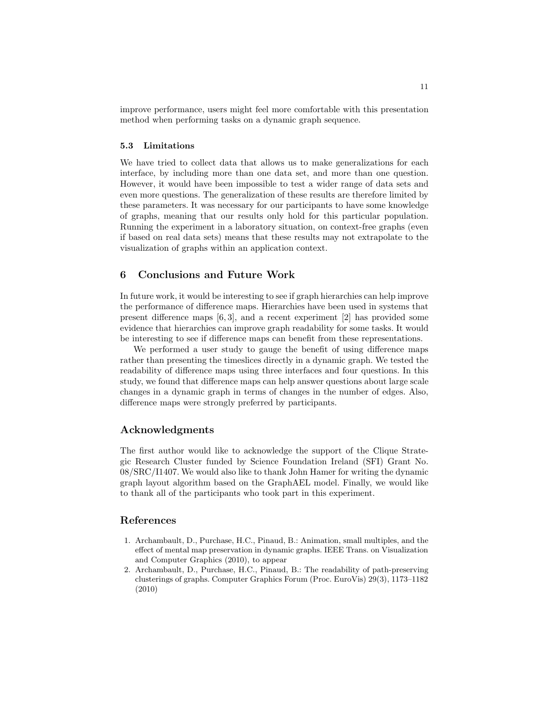improve performance, users might feel more comfortable with this presentation method when performing tasks on a dynamic graph sequence.

## 5.3 Limitations

We have tried to collect data that allows us to make generalizations for each interface, by including more than one data set, and more than one question. However, it would have been impossible to test a wider range of data sets and even more questions. The generalization of these results are therefore limited by these parameters. It was necessary for our participants to have some knowledge of graphs, meaning that our results only hold for this particular population. Running the experiment in a laboratory situation, on context-free graphs (even if based on real data sets) means that these results may not extrapolate to the visualization of graphs within an application context.

## 6 Conclusions and Future Work

In future work, it would be interesting to see if graph hierarchies can help improve the performance of difference maps. Hierarchies have been used in systems that present difference maps [6, 3], and a recent experiment [2] has provided some evidence that hierarchies can improve graph readability for some tasks. It would be interesting to see if difference maps can benefit from these representations.

We performed a user study to gauge the benefit of using difference maps rather than presenting the timeslices directly in a dynamic graph. We tested the readability of difference maps using three interfaces and four questions. In this study, we found that difference maps can help answer questions about large scale changes in a dynamic graph in terms of changes in the number of edges. Also, difference maps were strongly preferred by participants.

## Acknowledgments

The first author would like to acknowledge the support of the Clique Strategic Research Cluster funded by Science Foundation Ireland (SFI) Grant No. 08/SRC/I1407. We would also like to thank John Hamer for writing the dynamic graph layout algorithm based on the GraphAEL model. Finally, we would like to thank all of the participants who took part in this experiment.

## References

- 1. Archambault, D., Purchase, H.C., Pinaud, B.: Animation, small multiples, and the effect of mental map preservation in dynamic graphs. IEEE Trans. on Visualization and Computer Graphics (2010), to appear
- 2. Archambault, D., Purchase, H.C., Pinaud, B.: The readability of path-preserving clusterings of graphs. Computer Graphics Forum (Proc. EuroVis) 29(3), 1173–1182 (2010)